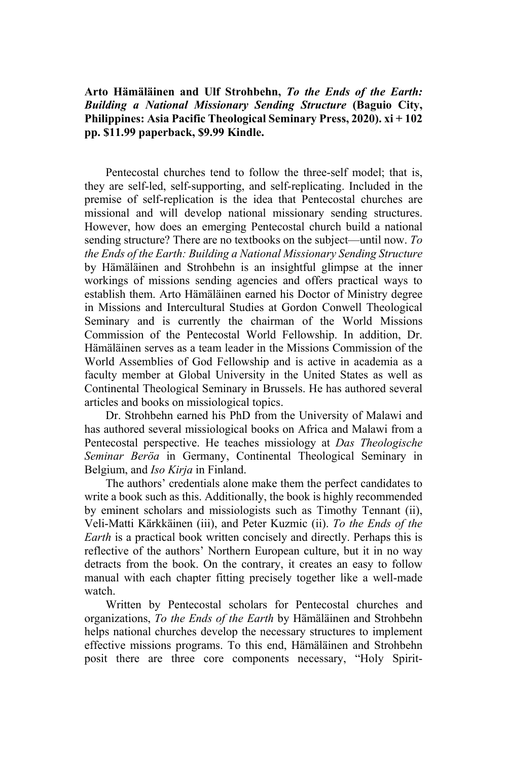**Arto Hämäläinen and Ulf Strohbehn,** *To the Ends of the Earth: Building a National Missionary Sending Structure* **(Baguio City, Philippines: Asia Pacific Theological Seminary Press, 2020). xi + 102 pp. \$11.99 paperback, \$9.99 Kindle.** 

Pentecostal churches tend to follow the three-self model; that is, they are self-led, self-supporting, and self-replicating. Included in the premise of self-replication is the idea that Pentecostal churches are missional and will develop national missionary sending structures. However, how does an emerging Pentecostal church build a national sending structure? There are no textbooks on the subject—until now. *To the Ends of the Earth: Building a National Missionary Sending Structure* by Hämäläinen and Strohbehn is an insightful glimpse at the inner workings of missions sending agencies and offers practical ways to establish them. Arto Hämäläinen earned his Doctor of Ministry degree in Missions and Intercultural Studies at Gordon Conwell Theological Seminary and is currently the chairman of the World Missions Commission of the Pentecostal World Fellowship. In addition, Dr. Hämäläinen serves as a team leader in the Missions Commission of the World Assemblies of God Fellowship and is active in academia as a faculty member at Global University in the United States as well as Continental Theological Seminary in Brussels. He has authored several articles and books on missiological topics.

Dr. Strohbehn earned his PhD from the University of Malawi and has authored several missiological books on Africa and Malawi from a Pentecostal perspective. He teaches missiology at *Das Theologische Seminar Beröa* in Germany, Continental Theological Seminary in Belgium, and *Iso Kirja* in Finland.

The authors' credentials alone make them the perfect candidates to write a book such as this. Additionally, the book is highly recommended by eminent scholars and missiologists such as Timothy Tennant (ii), Veli-Matti Kärkkäinen (iii), and Peter Kuzmic (ii). *To the Ends of the Earth* is a practical book written concisely and directly. Perhaps this is reflective of the authors' Northern European culture, but it in no way detracts from the book. On the contrary, it creates an easy to follow manual with each chapter fitting precisely together like a well-made watch.

Written by Pentecostal scholars for Pentecostal churches and organizations, *To the Ends of the Earth* by Hämäläinen and Strohbehn helps national churches develop the necessary structures to implement effective missions programs. To this end, Hämäläinen and Strohbehn posit there are three core components necessary, "Holy Spirit-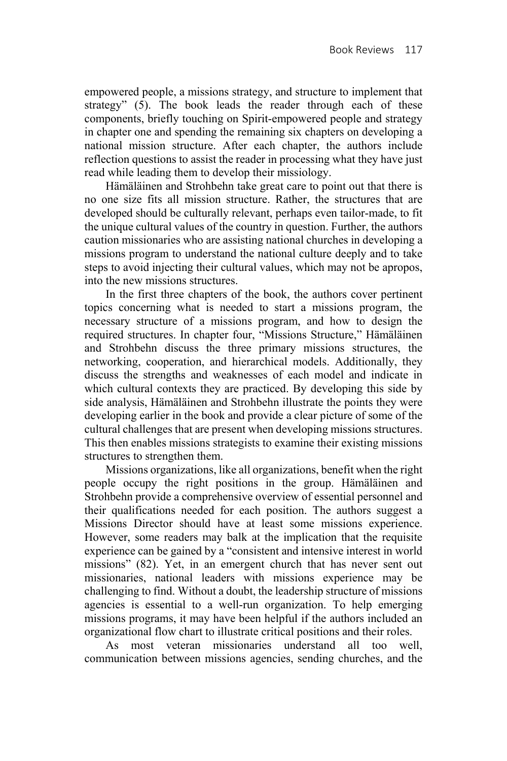empowered people, a missions strategy, and structure to implement that strategy" (5). The book leads the reader through each of these components, briefly touching on Spirit-empowered people and strategy in chapter one and spending the remaining six chapters on developing a national mission structure. After each chapter, the authors include reflection questions to assist the reader in processing what they have just read while leading them to develop their missiology.

Hämäläinen and Strohbehn take great care to point out that there is no one size fits all mission structure. Rather, the structures that are developed should be culturally relevant, perhaps even tailor-made, to fit the unique cultural values of the country in question. Further, the authors caution missionaries who are assisting national churches in developing a missions program to understand the national culture deeply and to take steps to avoid injecting their cultural values, which may not be apropos, into the new missions structures.

In the first three chapters of the book, the authors cover pertinent topics concerning what is needed to start a missions program, the necessary structure of a missions program, and how to design the required structures. In chapter four, "Missions Structure," Hämäläinen and Strohbehn discuss the three primary missions structures, the networking, cooperation, and hierarchical models. Additionally, they discuss the strengths and weaknesses of each model and indicate in which cultural contexts they are practiced. By developing this side by side analysis, Hämäläinen and Strohbehn illustrate the points they were developing earlier in the book and provide a clear picture of some of the cultural challenges that are present when developing missions structures. This then enables missions strategists to examine their existing missions structures to strengthen them.

Missions organizations, like all organizations, benefit when the right people occupy the right positions in the group. Hämäläinen and Strohbehn provide a comprehensive overview of essential personnel and their qualifications needed for each position. The authors suggest a Missions Director should have at least some missions experience. However, some readers may balk at the implication that the requisite experience can be gained by a "consistent and intensive interest in world missions" (82). Yet, in an emergent church that has never sent out missionaries, national leaders with missions experience may be challenging to find. Without a doubt, the leadership structure of missions agencies is essential to a well-run organization. To help emerging missions programs, it may have been helpful if the authors included an organizational flow chart to illustrate critical positions and their roles.

As most veteran missionaries understand all too well, communication between missions agencies, sending churches, and the